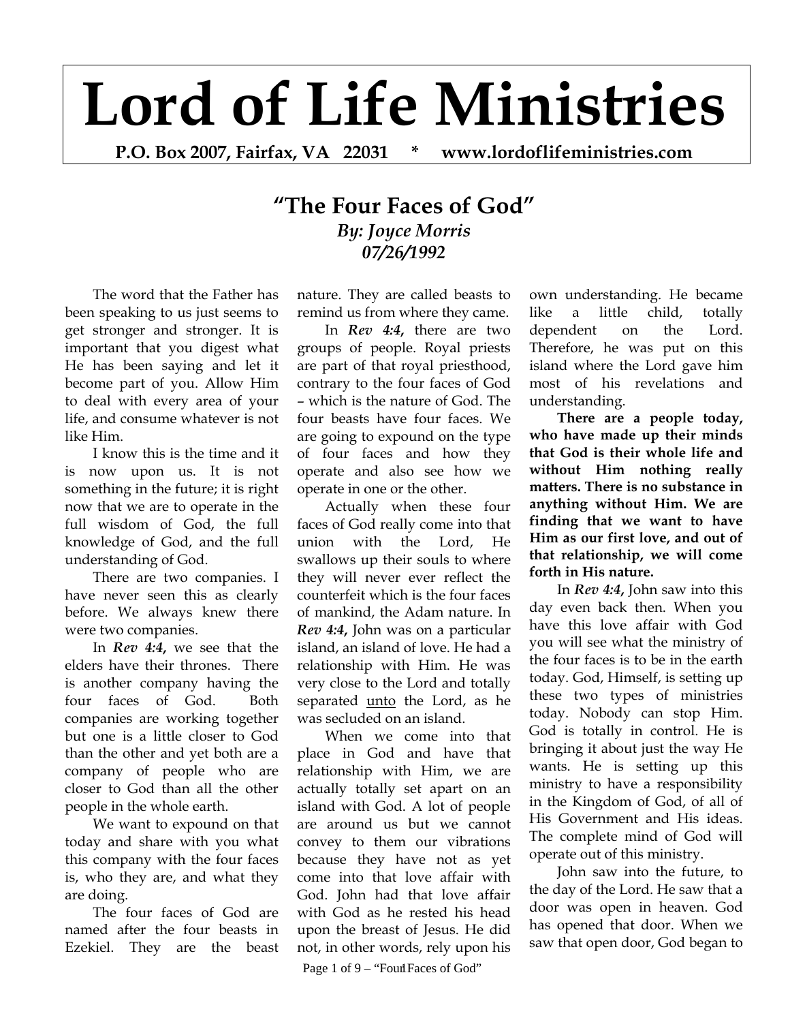## **Lord of Life Ministries**

**P.O. Box 2007, Fairfax, VA 22031 \* www.lordoflifeministries.com** 

## **"The Four Faces of God"** *By: Joyce Morris 07/26/1992*

The word that the Father has been speaking to us just seems to get stronger and stronger. It is important that you digest what He has been saying and let it become part of you. Allow Him to deal with every area of your life, and consume whatever is not like Him.

I know this is the time and it is now upon us. It is not something in the future; it is right now that we are to operate in the full wisdom of God, the full knowledge of God, and the full understanding of God.

There are two companies. I have never seen this as clearly before. We always knew there were two companies.

In *Rev 4:4***,** we see that the elders have their thrones. There is another company having the four faces of God. Both companies are working together but one is a little closer to God than the other and yet both are a company of people who are closer to God than all the other people in the whole earth.

We want to expound on that today and share with you what this company with the four faces is, who they are, and what they are doing.

The four faces of God are named after the four beasts in Ezekiel. They are the beast

nature. They are called beasts to remind us from where they came.

In *Rev 4:4***,** there are two groups of people. Royal priests are part of that royal priesthood, contrary to the four faces of God – which is the nature of God. The four beasts have four faces. We are going to expound on the type of four faces and how they operate and also see how we operate in one or the other.

Actually when these four faces of God really come into that union with the Lord, He swallows up their souls to where they will never ever reflect the counterfeit which is the four faces of mankind, the Adam nature. In *Rev 4:4***,** John was on a particular island, an island of love. He had a relationship with Him. He was very close to the Lord and totally separated unto the Lord, as he was secluded on an island.

When we come into that place in God and have that relationship with Him, we are actually totally set apart on an island with God. A lot of people are around us but we cannot convey to them our vibrations because they have not as yet come into that love affair with God. John had that love affair with God as he rested his head upon the breast of Jesus. He did not, in other words, rely upon his

Page 1 of 9 – "Four Faces of God"

own understanding. He became like a little child, totally dependent on the Lord. Therefore, he was put on this island where the Lord gave him most of his revelations and understanding.

**There are a people today, who have made up their minds that God is their whole life and without Him nothing really matters. There is no substance in anything without Him. We are finding that we want to have Him as our first love, and out of that relationship, we will come forth in His nature.**

In *Rev 4:4***,** John saw into this day even back then. When you have this love affair with God you will see what the ministry of the four faces is to be in the earth today. God, Himself, is setting up these two types of ministries today. Nobody can stop Him. God is totally in control. He is bringing it about just the way He wants. He is setting up this ministry to have a responsibility in the Kingdom of God, of all of His Government and His ideas. The complete mind of God will operate out of this ministry.

John saw into the future, to the day of the Lord. He saw that a door was open in heaven. God has opened that door. When we saw that open door, God began to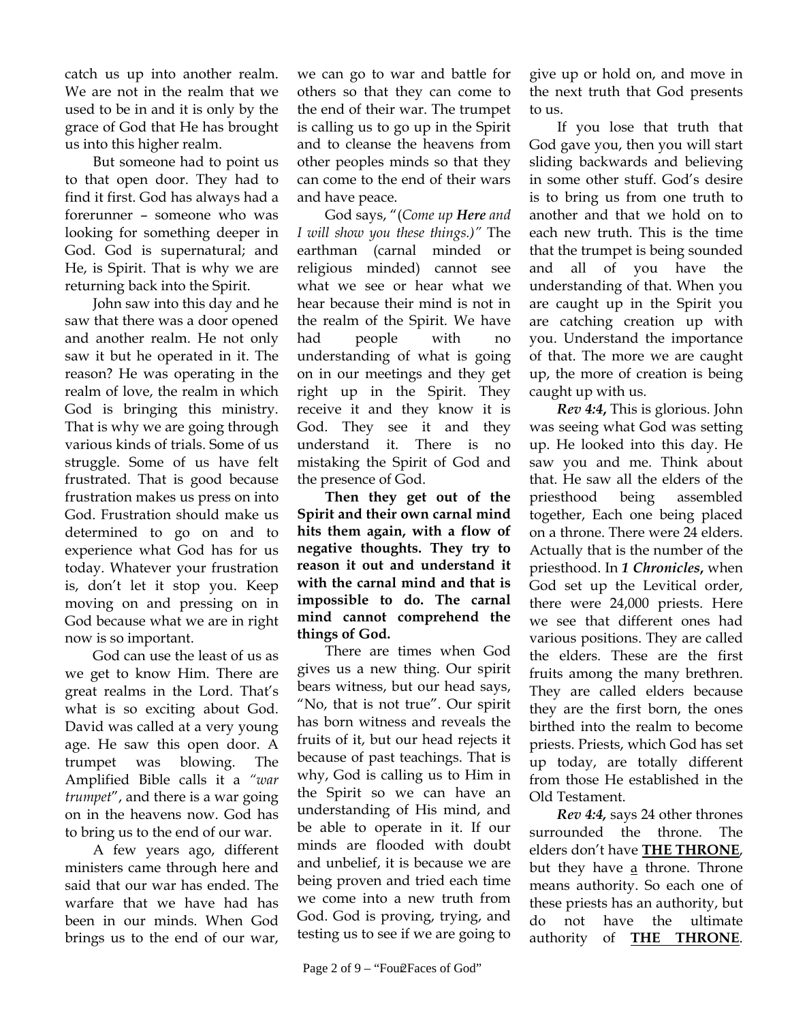catch us up into another realm. We are not in the realm that we used to be in and it is only by the grace of God that He has brought us into this higher realm.

But someone had to point us to that open door. They had to find it first. God has always had a forerunner – someone who was looking for something deeper in God. God is supernatural; and He, is Spirit. That is why we are returning back into the Spirit.

John saw into this day and he saw that there was a door opened and another realm. He not only saw it but he operated in it. The reason? He was operating in the realm of love, the realm in which God is bringing this ministry. That is why we are going through various kinds of trials. Some of us struggle. Some of us have felt frustrated. That is good because frustration makes us press on into God. Frustration should make us determined to go on and to experience what God has for us today. Whatever your frustration is, don't let it stop you. Keep moving on and pressing on in God because what we are in right now is so important.

God can use the least of us as we get to know Him. There are great realms in the Lord. That's what is so exciting about God. David was called at a very young age. He saw this open door. A trumpet was blowing. The Amplified Bible calls it a *"war trumpet*", and there is a war going on in the heavens now. God has to bring us to the end of our war.

A few years ago, different ministers came through here and said that our war has ended. The warfare that we have had has been in our minds. When God brings us to the end of our war,

we can go to war and battle for others so that they can come to the end of their war. The trumpet is calling us to go up in the Spirit and to cleanse the heavens from other peoples minds so that they can come to the end of their wars and have peace.

God says, "(*Come up Here and I will show you these things.)"* The earthman (carnal minded or religious minded) cannot see what we see or hear what we hear because their mind is not in the realm of the Spirit. We have had people with no understanding of what is going on in our meetings and they get right up in the Spirit. They receive it and they know it is God. They see it and they understand it. There is no mistaking the Spirit of God and the presence of God.

**Then they get out of the Spirit and their own carnal mind hits them again, with a flow of negative thoughts. They try to reason it out and understand it with the carnal mind and that is impossible to do. The carnal mind cannot comprehend the things of God.** 

There are times when God gives us a new thing. Our spirit bears witness, but our head says, "No, that is not true". Our spirit has born witness and reveals the fruits of it, but our head rejects it because of past teachings. That is why, God is calling us to Him in the Spirit so we can have an understanding of His mind, and be able to operate in it. If our minds are flooded with doubt and unbelief, it is because we are being proven and tried each time we come into a new truth from God. God is proving, trying, and testing us to see if we are going to

give up or hold on, and move in the next truth that God presents to us.

If you lose that truth that God gave you, then you will start sliding backwards and believing in some other stuff. God's desire is to bring us from one truth to another and that we hold on to each new truth. This is the time that the trumpet is being sounded and all of you have the understanding of that. When you are caught up in the Spirit you are catching creation up with you. Understand the importance of that. The more we are caught up, the more of creation is being caught up with us.

*Rev 4:4***,** This is glorious. John was seeing what God was setting up. He looked into this day. He saw you and me. Think about that. He saw all the elders of the priesthood being assembled together, Each one being placed on a throne. There were 24 elders. Actually that is the number of the priesthood. In *1 Chronicles***,** when God set up the Levitical order, there were 24,000 priests. Here we see that different ones had various positions. They are called the elders. These are the first fruits among the many brethren. They are called elders because they are the first born, the ones birthed into the realm to become priests. Priests, which God has set up today, are totally different from those He established in the Old Testament.

*Rev 4:4,* says 24 other thrones surrounded the throne. The elders don't have **THE THRONE**, but they have a throne. Throne means authority. So each one of these priests has an authority, but do not have the ultimate authority of **THE THRONE**.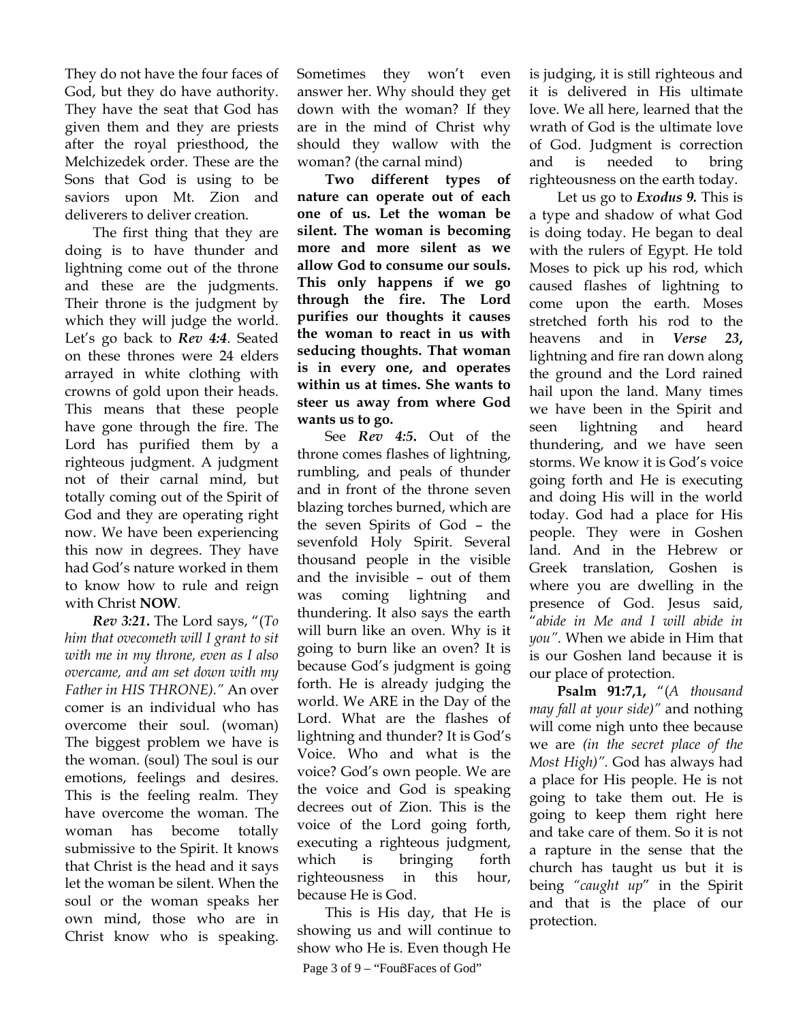They do not have the four faces of God, but they do have authority. They have the seat that God has given them and they are priests after the royal priesthood, the Melchizedek order. These are the Sons that God is using to be saviors upon Mt. Zion and deliverers to deliver creation.

The first thing that they are doing is to have thunder and lightning come out of the throne and these are the judgments. Their throne is the judgment by which they will judge the world. Let's go back to *Rev 4:4*. Seated on these thrones were 24 elders arrayed in white clothing with crowns of gold upon their heads. This means that these people have gone through the fire. The Lord has purified them by a righteous judgment. A judgment not of their carnal mind, but totally coming out of the Spirit of God and they are operating right now. We have been experiencing this now in degrees. They have had God's nature worked in them to know how to rule and reign with Christ **NOW**.

*Rev 3:21***.** The Lord says, "(*To him that ovecometh will I grant to sit with me in my throne, even as I also overcame, and am set down with my Father in HIS THRONE)."* An over comer is an individual who has overcome their soul. (woman) The biggest problem we have is the woman. (soul) The soul is our emotions, feelings and desires. This is the feeling realm. They have overcome the woman. The woman has become totally submissive to the Spirit. It knows that Christ is the head and it says let the woman be silent. When the soul or the woman speaks her own mind, those who are in Christ know who is speaking. Sometimes they won't even answer her. Why should they get down with the woman? If they are in the mind of Christ why should they wallow with the woman? (the carnal mind)

**Two different types of nature can operate out of each one of us. Let the woman be silent. The woman is becoming more and more silent as we allow God to consume our souls. This only happens if we go through the fire. The Lord purifies our thoughts it causes the woman to react in us with seducing thoughts. That woman is in every one, and operates within us at times. She wants to steer us away from where God wants us to go.** 

See *Rev 4:5***.** Out of the throne comes flashes of lightning, rumbling, and peals of thunder and in front of the throne seven blazing torches burned, which are the seven Spirits of God – the sevenfold Holy Spirit. Several thousand people in the visible and the invisible – out of them was coming lightning and thundering. It also says the earth will burn like an oven. Why is it going to burn like an oven? It is because God's judgment is going forth. He is already judging the world. We ARE in the Day of the Lord. What are the flashes of lightning and thunder? It is God's Voice. Who and what is the voice? God's own people. We are the voice and God is speaking decrees out of Zion. This is the voice of the Lord going forth, executing a righteous judgment, which is bringing forth righteousness in this hour, because He is God.

This is His day, that He is showing us and will continue to show who He is. Even though He

Page 3 of 9 – "FoußFaces of God"

is judging, it is still righteous and it is delivered in His ultimate love. We all here, learned that the wrath of God is the ultimate love of God. Judgment is correction and is needed to bring righteousness on the earth today.

Let us go to *Exodus 9.* This is a type and shadow of what God is doing today. He began to deal with the rulers of Egypt. He told Moses to pick up his rod, which caused flashes of lightning to come upon the earth. Moses stretched forth his rod to the heavens and in *Verse 23***,** lightning and fire ran down along the ground and the Lord rained hail upon the land. Many times we have been in the Spirit and seen lightning and heard thundering, and we have seen storms. We know it is God's voice going forth and He is executing and doing His will in the world today. God had a place for His people. They were in Goshen land. And in the Hebrew or Greek translation, Goshen is where you are dwelling in the presence of God. Jesus said, "*abide in Me and I will abide in you"*. When we abide in Him that is our Goshen land because it is our place of protection.

**Psalm 91:7,1,** "(*A thousand may fall at your side)"* and nothing will come nigh unto thee because we are *(in the secret place of the Most High)".* God has always had a place for His people. He is not going to take them out. He is going to keep them right here and take care of them. So it is not a rapture in the sense that the church has taught us but it is being *"caught up*" in the Spirit and that is the place of our protection.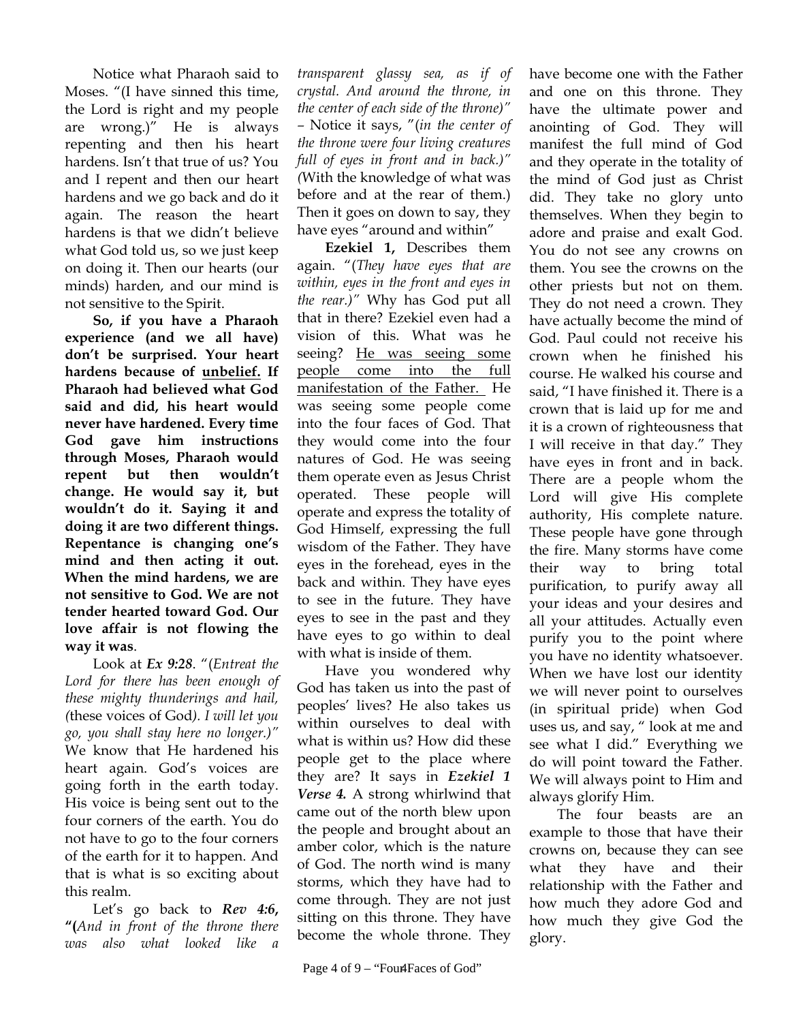Notice what Pharaoh said to Moses. "(I have sinned this time, the Lord is right and my people are wrong.)" He is always repenting and then his heart hardens. Isn't that true of us? You and I repent and then our heart hardens and we go back and do it again. The reason the heart hardens is that we didn't believe what God told us, so we just keep on doing it. Then our hearts (our minds) harden, and our mind is not sensitive to the Spirit.

**So, if you have a Pharaoh experience (and we all have) don't be surprised. Your heart hardens because of unbelief. If Pharaoh had believed what God said and did, his heart would never have hardened. Every time God gave him instructions through Moses, Pharaoh would repent but then wouldn't change. He would say it, but wouldn't do it. Saying it and doing it are two different things. Repentance is changing one's mind and then acting it out. When the mind hardens, we are not sensitive to God. We are not tender hearted toward God. Our love affair is not flowing the way it was**.

Look at *Ex 9:28*. "(*Entreat the Lord for there has been enough of these mighty thunderings and hail, (*these voices of God*). I will let you go, you shall stay here no longer.)"*  We know that He hardened his heart again. God's voices are going forth in the earth today. His voice is being sent out to the four corners of the earth. You do not have to go to the four corners of the earth for it to happen. And that is what is so exciting about this realm.

Let's go back to *Rev 4:6***, "(***And in front of the throne there was also what looked like* 

*transparent glassy sea, as if of crystal. And around the throne, in the center of each side of the throne)" –* Notice it says, "(*in the center of the throne were four living creatures full of eyes in front and in back.)" (*With the knowledge of what was before and at the rear of them.) Then it goes on down to say, they have eyes "around and within"

**Ezekiel 1,** Describes them again. "(*They have eyes that are within, eyes in the front and eyes in the rear.)"* Why has God put all that in there? Ezekiel even had a vision of this. What was he seeing? He was seeing some people come into the full manifestation of the Father. He was seeing some people come into the four faces of God. That they would come into the four natures of God. He was seeing them operate even as Jesus Christ operated. These people will operate and express the totality of God Himself, expressing the full wisdom of the Father. They have eyes in the forehead, eyes in the back and within. They have eyes to see in the future. They have eyes to see in the past and they have eyes to go within to deal with what is inside of them.

Have you wondered why God has taken us into the past of peoples' lives? He also takes us within ourselves to deal with what is within us? How did these people get to the place where they are? It says in *Ezekiel 1 Verse 4.* A strong whirlwind that came out of the north blew upon the people and brought about an amber color, which is the nature of God. The north wind is many storms, which they have had to come through. They are not just sitting on this throne. They have become the whole throne. They

have become one with the Father and one on this throne. They have the ultimate power and anointing of God. They will manifest the full mind of God and they operate in the totality of the mind of God just as Christ did. They take no glory unto themselves. When they begin to adore and praise and exalt God. You do not see any crowns on them. You see the crowns on the other priests but not on them. They do not need a crown. They have actually become the mind of God. Paul could not receive his crown when he finished his course. He walked his course and said, "I have finished it. There is a crown that is laid up for me and it is a crown of righteousness that I will receive in that day." They have eyes in front and in back. There are a people whom the Lord will give His complete authority, His complete nature. These people have gone through the fire. Many storms have come their way to bring total purification, to purify away all your ideas and your desires and all your attitudes. Actually even purify you to the point where you have no identity whatsoever. When we have lost our identity we will never point to ourselves (in spiritual pride) when God uses us, and say, " look at me and see what I did." Everything we do will point toward the Father. We will always point to Him and always glorify Him.

The four beasts are an example to those that have their crowns on, because they can see what they have and their relationship with the Father and how much they adore God and how much they give God the glory.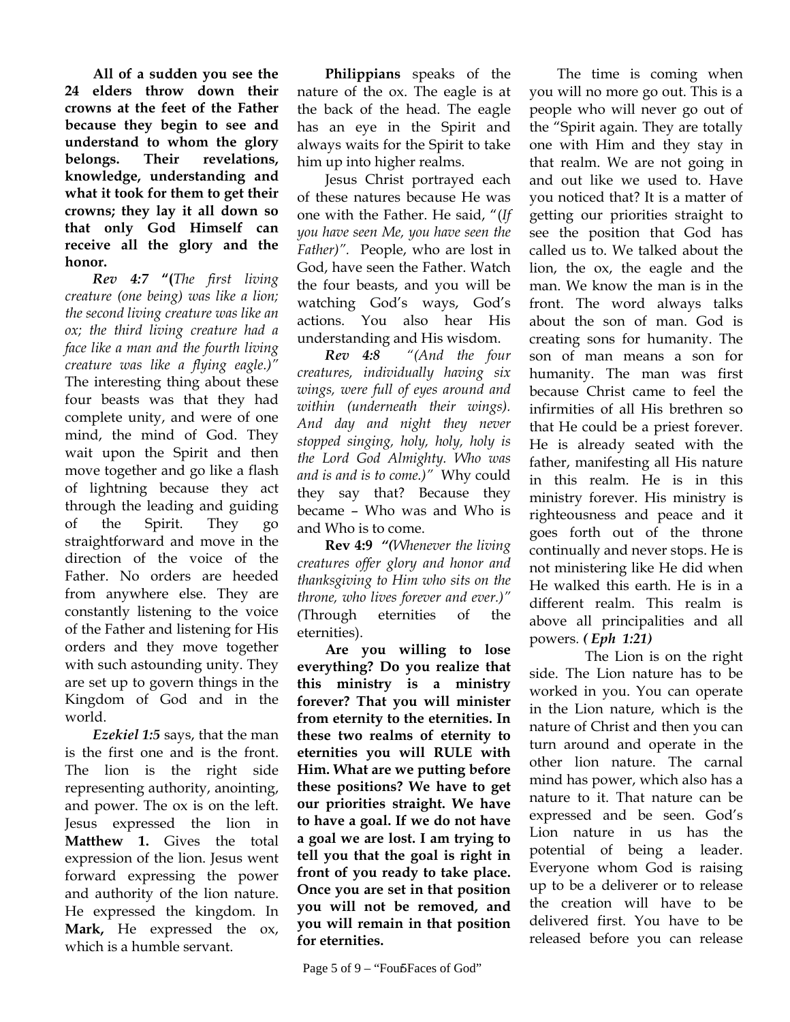**All of a sudden you see the 24 elders throw down their crowns at the feet of the Father because they begin to see and understand to whom the glory belongs. Their revelations, knowledge, understanding and what it took for them to get their crowns; they lay it all down so that only God Himself can receive all the glory and the honor.** 

*Rev 4:7* **"(***The first living creature (one being) was like a lion; the second living creature was like an ox; the third living creature had a face like a man and the fourth living creature was like a flying eagle.)"*  The interesting thing about these four beasts was that they had complete unity, and were of one mind, the mind of God. They wait upon the Spirit and then move together and go like a flash of lightning because they act through the leading and guiding of the Spirit. They go straightforward and move in the direction of the voice of the Father. No orders are heeded from anywhere else. They are constantly listening to the voice of the Father and listening for His orders and they move together with such astounding unity. They are set up to govern things in the Kingdom of God and in the world.

*Ezekiel 1:5* says, that the man is the first one and is the front. The lion is the right side representing authority, anointing, and power. The ox is on the left. Jesus expressed the lion in **Matthew 1.** Gives the total expression of the lion. Jesus went forward expressing the power and authority of the lion nature. He expressed the kingdom. In **Mark,** He expressed the ox, which is a humble servant.

**Philippians** speaks of the nature of the ox. The eagle is at the back of the head. The eagle has an eye in the Spirit and always waits for the Spirit to take him up into higher realms.

Jesus Christ portrayed each of these natures because He was one with the Father. He said, "(*If you have seen Me, you have seen the Father)".* People, who are lost in God, have seen the Father. Watch the four beasts, and you will be watching God's ways, God's actions. You also hear His understanding and His wisdom.

*Rev 4:8**"(And the four creatures, individually having six wings, were full of eyes around and within (underneath their wings). And day and night they never stopped singing, holy, holy, holy is the Lord God Almighty. Who was and is and is to come.)"* Why could they say that? Because they became – Who was and Who is and Who is to come.

**Rev 4:9** *"(Whenever the living creatures offer glory and honor and thanksgiving to Him who sits on the throne, who lives forever and ever.)" (*Through eternities of the eternities).

**Are you willing to lose everything? Do you realize that this ministry is a ministry forever? That you will minister from eternity to the eternities. In these two realms of eternity to eternities you will RULE with Him. What are we putting before these positions? We have to get our priorities straight. We have to have a goal. If we do not have a goal we are lost. I am trying to tell you that the goal is right in front of you ready to take place. Once you are set in that position you will not be removed, and you will remain in that position for eternities.** 

The time is coming when you will no more go out. This is a people who will never go out of the "Spirit again. They are totally one with Him and they stay in that realm. We are not going in and out like we used to. Have you noticed that? It is a matter of getting our priorities straight to see the position that God has called us to. We talked about the lion, the ox, the eagle and the man. We know the man is in the front. The word always talks about the son of man. God is creating sons for humanity. The son of man means a son for humanity. The man was first because Christ came to feel the infirmities of all His brethren so that He could be a priest forever. He is already seated with the father, manifesting all His nature in this realm. He is in this ministry forever. His ministry is righteousness and peace and it goes forth out of the throne continually and never stops. He is not ministering like He did when He walked this earth. He is in a different realm. This realm is above all principalities and all powers*. ( Eph 1:21)*

 The Lion is on the right side. The Lion nature has to be worked in you. You can operate in the Lion nature, which is the nature of Christ and then you can turn around and operate in the other lion nature. The carnal mind has power, which also has a nature to it. That nature can be expressed and be seen. God's Lion nature in us has the potential of being a leader. Everyone whom God is raising up to be a deliverer or to release the creation will have to be delivered first. You have to be released before you can release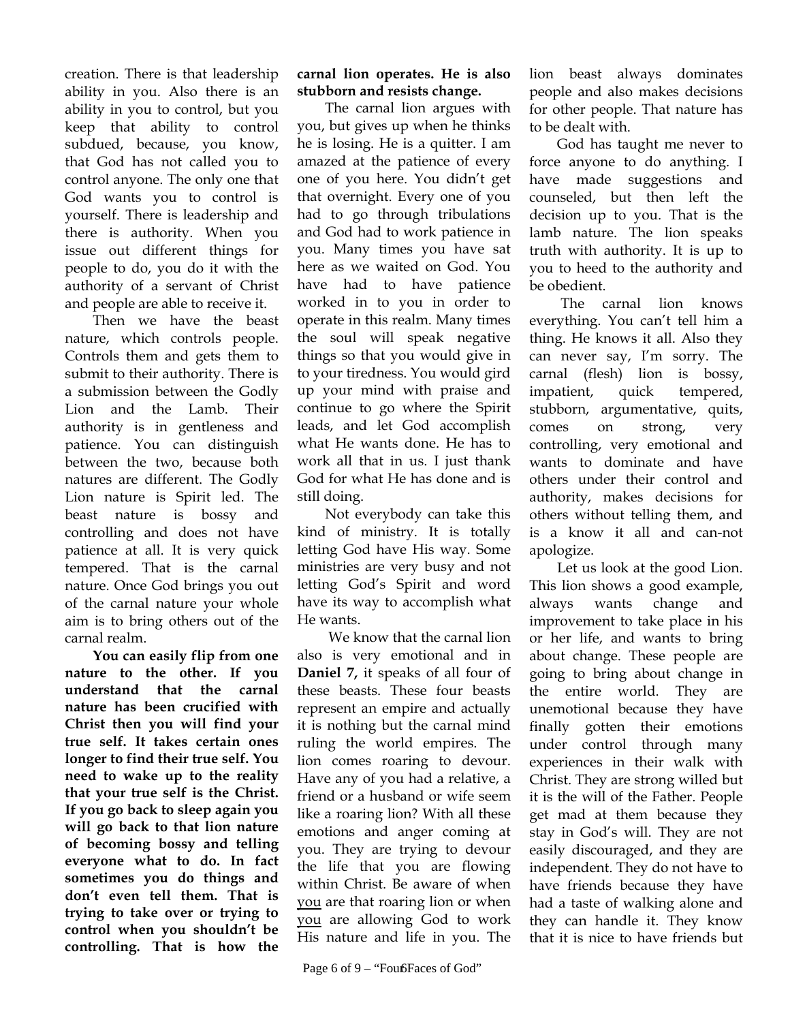creation. There is that leadership ability in you. Also there is an ability in you to control, but you keep that ability to control subdued, because, you know, that God has not called you to control anyone. The only one that God wants you to control is yourself. There is leadership and there is authority. When you issue out different things for people to do, you do it with the authority of a servant of Christ and people are able to receive it.

Then we have the beast nature, which controls people. Controls them and gets them to submit to their authority. There is a submission between the Godly Lion and the Lamb. Their authority is in gentleness and patience. You can distinguish between the two, because both natures are different. The Godly Lion nature is Spirit led. The beast nature is bossy and controlling and does not have patience at all. It is very quick tempered. That is the carnal nature. Once God brings you out of the carnal nature your whole aim is to bring others out of the carnal realm.

**You can easily flip from one nature to the other. If you understand that the carnal nature has been crucified with Christ then you will find your true self. It takes certain ones longer to find their true self. You need to wake up to the reality that your true self is the Christ. If you go back to sleep again you will go back to that lion nature of becoming bossy and telling everyone what to do. In fact sometimes you do things and don't even tell them. That is trying to take over or trying to control when you shouldn't be controlling. That is how the** 

**carnal lion operates. He is also stubborn and resists change.** 

The carnal lion argues with you, but gives up when he thinks he is losing. He is a quitter. I am amazed at the patience of every one of you here. You didn't get that overnight. Every one of you had to go through tribulations and God had to work patience in you. Many times you have sat here as we waited on God. You have had to have patience worked in to you in order to operate in this realm. Many times the soul will speak negative things so that you would give in to your tiredness. You would gird up your mind with praise and continue to go where the Spirit leads, and let God accomplish what He wants done. He has to work all that in us. I just thank God for what He has done and is still doing.

Not everybody can take this kind of ministry. It is totally letting God have His way. Some ministries are very busy and not letting God's Spirit and word have its way to accomplish what He wants.

 We know that the carnal lion also is very emotional and in **Daniel 7,** it speaks of all four of these beasts. These four beasts represent an empire and actually it is nothing but the carnal mind ruling the world empires. The lion comes roaring to devour. Have any of you had a relative, a friend or a husband or wife seem like a roaring lion? With all these emotions and anger coming at you. They are trying to devour the life that you are flowing within Christ. Be aware of when you are that roaring lion or when you are allowing God to work His nature and life in you. The

lion beast always dominates people and also makes decisions for other people. That nature has to be dealt with.

God has taught me never to force anyone to do anything. I have made suggestions and counseled, but then left the decision up to you. That is the lamb nature. The lion speaks truth with authority. It is up to you to heed to the authority and be obedient.

 The carnal lion knows everything. You can't tell him a thing. He knows it all. Also they can never say, I'm sorry. The carnal (flesh) lion is bossy, impatient, quick tempered, stubborn, argumentative, quits, comes on strong, very controlling, very emotional and wants to dominate and have others under their control and authority, makes decisions for others without telling them, and is a know it all and can-not apologize.

Let us look at the good Lion. This lion shows a good example, always wants change and improvement to take place in his or her life, and wants to bring about change. These people are going to bring about change in the entire world. They are unemotional because they have finally gotten their emotions under control through many experiences in their walk with Christ. They are strong willed but it is the will of the Father. People get mad at them because they stay in God's will. They are not easily discouraged, and they are independent. They do not have to have friends because they have had a taste of walking alone and they can handle it. They know that it is nice to have friends but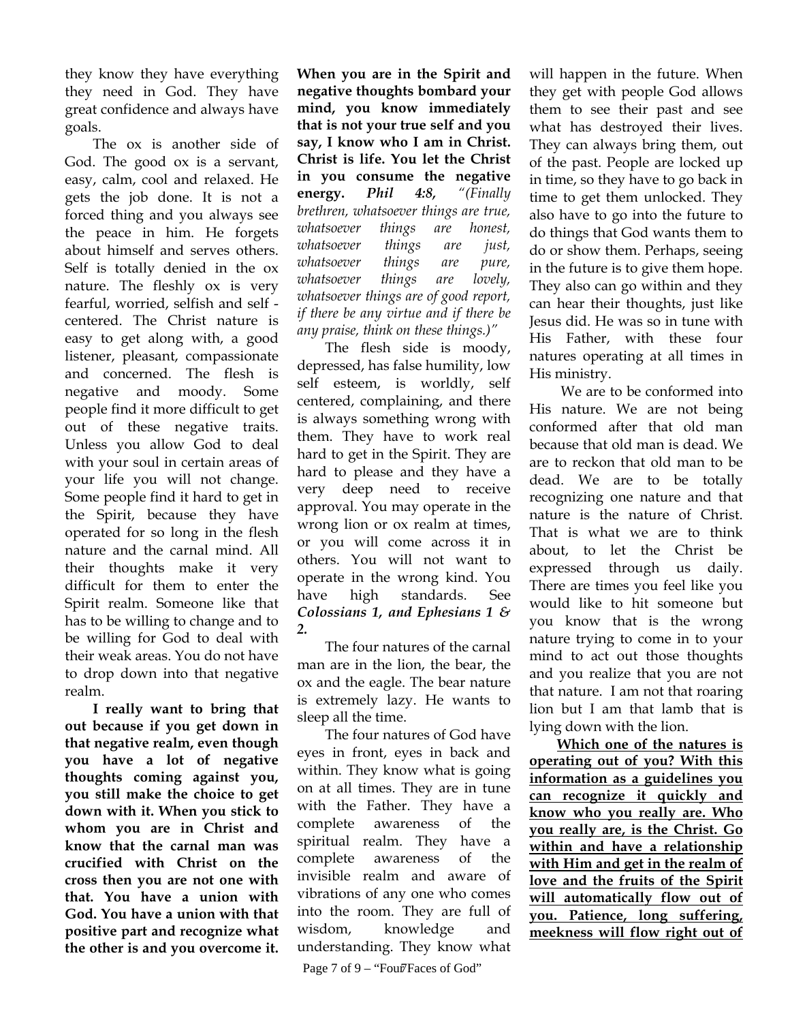they know they have everything they need in God. They have great confidence and always have goals.

The ox is another side of God. The good ox is a servant, easy, calm, cool and relaxed. He gets the job done. It is not a forced thing and you always see the peace in him. He forgets about himself and serves others. Self is totally denied in the ox nature. The fleshly ox is very fearful, worried, selfish and self centered. The Christ nature is easy to get along with, a good listener, pleasant, compassionate and concerned. The flesh is negative and moody. Some people find it more difficult to get out of these negative traits. Unless you allow God to deal with your soul in certain areas of your life you will not change. Some people find it hard to get in the Spirit, because they have operated for so long in the flesh nature and the carnal mind. All their thoughts make it very difficult for them to enter the Spirit realm. Someone like that has to be willing to change and to be willing for God to deal with their weak areas. You do not have to drop down into that negative realm.

**I really want to bring that out because if you get down in that negative realm, even though you have a lot of negative thoughts coming against you, you still make the choice to get down with it. When you stick to whom you are in Christ and know that the carnal man was crucified with Christ on the cross then you are not one with that. You have a union with God. You have a union with that positive part and recognize what the other is and you overcome it.** 

**When you are in the Spirit and negative thoughts bombard your mind, you know immediately that is not your true self and you say, I know who I am in Christ. Christ is life. You let the Christ in you consume the negative energy.** *Phil 4:8, "(Finally brethren, whatsoever things are true, whatsoever things are honest, whatsoever things are just, whatsoever things are pure, whatsoever things are lovely, whatsoever things are of good report, if there be any virtue and if there be any praise, think on these things.)"*

The flesh side is moody, depressed, has false humility, low self esteem, is worldly, self centered, complaining, and there is always something wrong with them. They have to work real hard to get in the Spirit. They are hard to please and they have a very deep need to receive approval. You may operate in the wrong lion or ox realm at times, or you will come across it in others. You will not want to operate in the wrong kind. You have high standards. See *Colossians 1, and Ephesians 1 & 2.* 

The four natures of the carnal man are in the lion, the bear, the ox and the eagle. The bear nature is extremely lazy. He wants to sleep all the time.

The four natures of God have eyes in front, eyes in back and within. They know what is going on at all times. They are in tune with the Father. They have a complete awareness of the spiritual realm. They have a complete awareness of the invisible realm and aware of vibrations of any one who comes into the room. They are full of wisdom, knowledge and understanding. They know what

Page 7 of 9 – "Four Faces of God"

will happen in the future. When they get with people God allows them to see their past and see what has destroyed their lives. They can always bring them, out of the past. People are locked up in time, so they have to go back in time to get them unlocked. They also have to go into the future to do things that God wants them to do or show them. Perhaps, seeing in the future is to give them hope. They also can go within and they can hear their thoughts, just like Jesus did. He was so in tune with His Father, with these four natures operating at all times in His ministry.

 We are to be conformed into His nature. We are not being conformed after that old man because that old man is dead. We are to reckon that old man to be dead. We are to be totally recognizing one nature and that nature is the nature of Christ. That is what we are to think about, to let the Christ be expressed through us daily. There are times you feel like you would like to hit someone but you know that is the wrong nature trying to come in to your mind to act out those thoughts and you realize that you are not that nature. I am not that roaring lion but I am that lamb that is lying down with the lion.

**Which one of the natures is operating out of you? With this information as a guidelines you can recognize it quickly and know who you really are. Who you really are, is the Christ. Go within and have a relationship with Him and get in the realm of love and the fruits of the Spirit will automatically flow out of you. Patience, long suffering, meekness will flow right out of**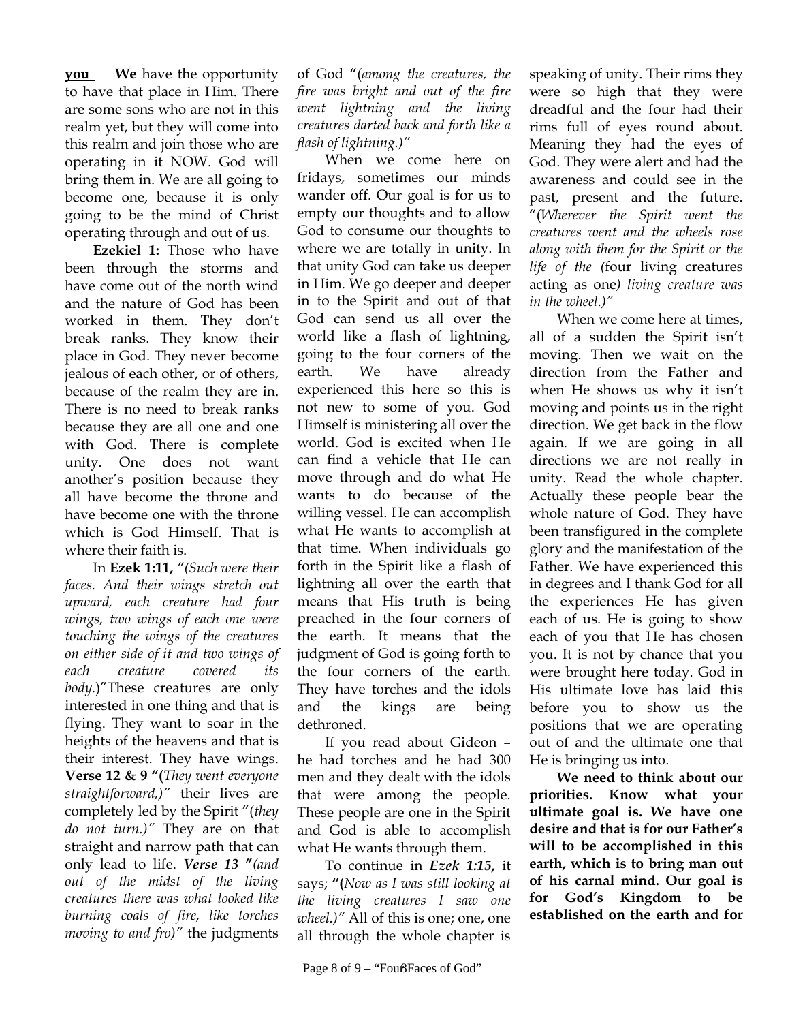**you We** have the opportunity to have that place in Him. There are some sons who are not in this realm yet, but they will come into this realm and join those who are operating in it NOW. God will bring them in. We are all going to become one, because it is only going to be the mind of Christ operating through and out of us.

**Ezekiel 1:** Those who have been through the storms and have come out of the north wind and the nature of God has been worked in them. They don't break ranks. They know their place in God. They never become jealous of each other, or of others, because of the realm they are in. There is no need to break ranks because they are all one and one with God. There is complete unity. One does not want another's position because they all have become the throne and have become one with the throne which is God Himself. That is where their faith is.

In **Ezek 1:11,** *"(Such were their faces. And their wings stretch out upward, each creature had four wings, two wings of each one were touching the wings of the creatures on either side of it and two wings of each creature covered body.*)"These creatures are only interested in one thing and that is flying. They want to soar in the heights of the heavens and that is their interest. They have wings. **Verse 12 & 9 "(***They went everyone straightforward,)"* their lives are completely led by the Spirit "(*they do not turn.)"* They are on that straight and narrow path that can only lead to life. *Verse 13* **"***(and out of the midst of the living creatures there was what looked like burning coals of fire, like torches moving to and fro)"* the judgments

of God "(*among the creatures, the fire was bright and out of the fire went lightning and the living creatures darted back and forth like a flash of lightning.)"* 

When we come here on fridays, sometimes our minds wander off. Our goal is for us to empty our thoughts and to allow God to consume our thoughts to where we are totally in unity. In that unity God can take us deeper in Him. We go deeper and deeper in to the Spirit and out of that God can send us all over the world like a flash of lightning, going to the four corners of the earth. We have already experienced this here so this is not new to some of you. God Himself is ministering all over the world. God is excited when He can find a vehicle that He can move through and do what He wants to do because of the willing vessel. He can accomplish what He wants to accomplish at that time. When individuals go forth in the Spirit like a flash of lightning all over the earth that means that His truth is being preached in the four corners of the earth. It means that the judgment of God is going forth to the four corners of the earth. They have torches and the idols and the kings are being dethroned.

If you read about Gideon – he had torches and he had 300 men and they dealt with the idols that were among the people. These people are one in the Spirit and God is able to accomplish what He wants through them.

To continue in *Ezek 1:15***,** it says; **"(***Now as I was still looking at the living creatures I saw one wheel.)"* All of this is one; one, one all through the whole chapter is

speaking of unity. Their rims they were so high that they were dreadful and the four had their rims full of eyes round about. Meaning they had the eyes of God. They were alert and had the awareness and could see in the past, present and the future. "(*Wherever the Spirit went the creatures went and the wheels rose along with them for the Spirit or the life of the (*four living creatures acting as one*) living creature was in the wheel.)"* 

When we come here at times, all of a sudden the Spirit isn't moving. Then we wait on the direction from the Father and when He shows us why it isn't moving and points us in the right direction. We get back in the flow again. If we are going in all directions we are not really in unity. Read the whole chapter. Actually these people bear the whole nature of God. They have been transfigured in the complete glory and the manifestation of the Father. We have experienced this in degrees and I thank God for all the experiences He has given each of us. He is going to show each of you that He has chosen you. It is not by chance that you were brought here today. God in His ultimate love has laid this before you to show us the positions that we are operating out of and the ultimate one that He is bringing us into.

**We need to think about our priorities. Know what your ultimate goal is. We have one desire and that is for our Father's will to be accomplished in this earth, which is to bring man out of his carnal mind. Our goal is for God's Kingdom to be established on the earth and for**